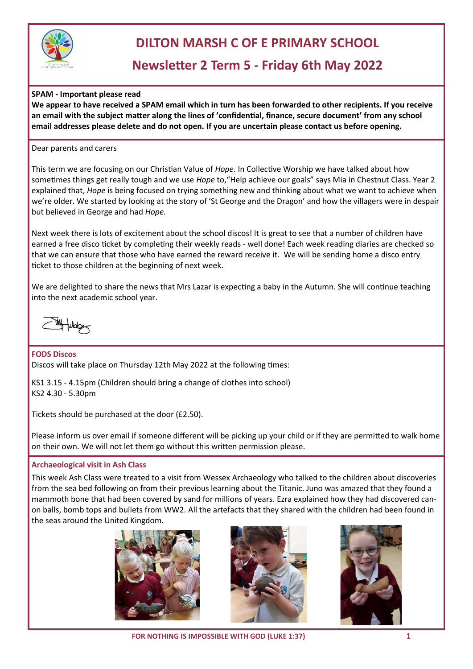

## **DILTON MARSH C OF E PRIMARY SCHOOL**

# **Newsletter 2 Term 5 - Friday 6th May 2022**

**SPAM - Important please read** 

**We appear to have received a SPAM email which in turn has been forwarded to other recipients. If you receive an email with the subject matter along the lines of 'confidential, finance, secure document' from any school email addresses please delete and do not open. If you are uncertain please contact us before opening.** 

Dear parents and carers

This term we are focusing on our Christian Value of *Hope*. In Collective Worship we have talked about how sometimes things get really tough and we use *Hope* to,"Help achieve our goals" says Mia in Chestnut Class. Year 2 explained that, *Hope* is being focused on trying something new and thinking about what we want to achieve when we're older. We started by looking at the story of 'St George and the Dragon' and how the villagers were in despair but believed in George and had *Hope.* 

Next week there is lots of excitement about the school discos! It is great to see that a number of children have earned a free disco ticket by completing their weekly reads - well done! Each week reading diaries are checked so that we can ensure that those who have earned the reward receive it. We will be sending home a disco entry ticket to those children at the beginning of next week.

We are delighted to share the news that Mrs Lazar is expecting a baby in the Autumn. She will continue teaching into the next academic school year.

**FODS Discos**  Discos will take place on Thursday 12th May 2022 at the following times:

KS1 3.15 - 4.15pm (Children should bring a change of clothes into school) KS2 4.30 - 5.30pm

Tickets should be purchased at the door (£2.50).

Please inform us over email if someone different will be picking up your child or if they are permitted to walk home on their own. We will not let them go without this written permission please.

#### **Archaeological visit in Ash Class**

This week Ash Class were treated to a visit from Wessex Archaeology who talked to the children about discoveries from the sea bed following on from their previous learning about the Titanic. Juno was amazed that they found a mammoth bone that had been covered by sand for millions of years. Ezra explained how they had discovered canon balls, bomb tops and bullets from WW2. All the artefacts that they shared with the children had been found in the seas around the United Kingdom.